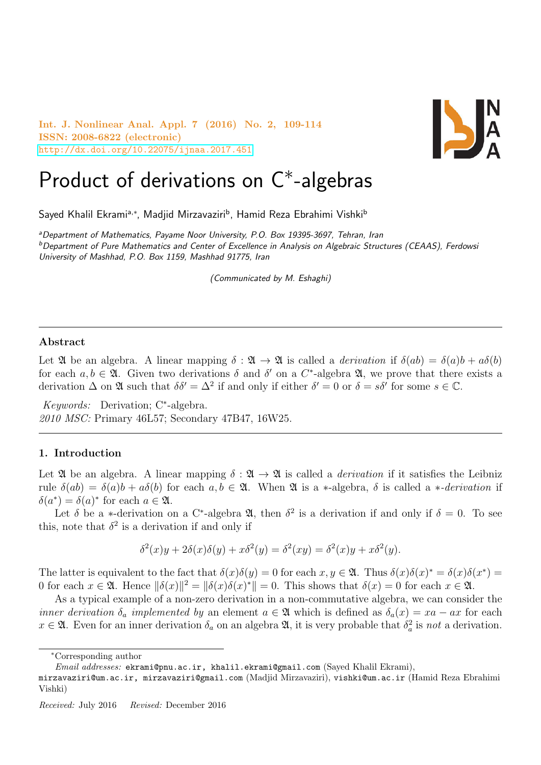Int. J. Nonlinear Anal. Appl. 7 (2016) No. 2, 109-114 ISSN: 2008-6822 (electronic) <http://dx.doi.org/10.22075/ijnaa.2017.451>



# Product of derivations on C<sup>\*</sup>-algebras

Sayed Khalil Ekramiª,\*, Madjid Mirzavaziri<sup>b</sup>, Hamid Reza Ebrahimi Vishki<sup>b</sup>

<sup>a</sup>Department of Mathematics, Payame Noor University, P.O. Box 19395-3697, Tehran, Iran <sup>b</sup>Department of Pure Mathematics and Center of Excellence in Analysis on Algebraic Structures (CEAAS), Ferdowsi University of Mashhad, P.O. Box 1159, Mashhad 91775, Iran

(Communicated by M. Eshaghi)

### Abstract

Let  $\mathfrak A$  be an algebra. A linear mapping  $\delta : \mathfrak A \to \mathfrak A$  is called a *derivation* if  $\delta(ab) = \delta(a)b + a\delta(b)$ for each  $a, b \in \mathfrak{A}$ . Given two derivations  $\delta$  and  $\delta'$  on a C<sup>\*</sup>-algebra  $\mathfrak{A}$ , we prove that there exists a derivation  $\Delta$  on  $\mathfrak{A}$  such that  $\delta \delta' = \Delta^2$  if and only if either  $\delta' = 0$  or  $\delta = s\delta'$  for some  $s \in \mathbb{C}$ .

Keywords: Derivation; C<sup>∗</sup> -algebra. 2010 MSC: Primary 46L57; Secondary 47B47, 16W25.

#### 1. Introduction

Let  $\mathfrak A$  be an algebra. A linear mapping  $\delta : \mathfrak A \to \mathfrak A$  is called a *derivation* if it satisfies the Leibniz rule  $\delta(ab) = \delta(a)b + a\delta(b)$  for each  $a, b \in \mathfrak{A}$ . When  $\mathfrak{A}$  is a \*-algebra,  $\delta$  is called a \*-derivation if  $\delta(a^*) = \delta(a)^*$  for each  $a \in \mathfrak{A}$ .

Let  $\delta$  be a ∗-derivation on a C<sup>\*</sup>-algebra  $\mathfrak{A}$ , then  $\delta^2$  is a derivation if and only if  $\delta = 0$ . To see this, note that  $\delta^2$  is a derivation if and only if

$$
\delta^{2}(x)y + 2\delta(x)\delta(y) + x\delta^{2}(y) = \delta^{2}(xy) = \delta^{2}(x)y + x\delta^{2}(y).
$$

The latter is equivalent to the fact that  $\delta(x)\delta(y) = 0$  for each  $x, y \in \mathfrak{A}$ . Thus  $\delta(x)\delta(x)^* = \delta(x)\delta(x^*) =$ 0 for each  $x \in \mathfrak{A}$ . Hence  $\|\delta(x)\|^2 = \|\delta(x)\delta(x)^*\| = 0$ . This shows that  $\delta(x) = 0$  for each  $x \in \mathfrak{A}$ .

As a typical example of a non-zero derivation in a non-commutative algebra, we can consider the inner derivation  $\delta_a$  implemented by an element  $a \in \mathfrak{A}$  which is defined as  $\delta_a(x) = xa - ax$  for each  $x \in \mathfrak{A}$ . Even for an inner derivation  $\delta_a$  on an algebra  $\mathfrak{A}$ , it is very probable that  $\delta_a^2$  is not a derivation.

<sup>∗</sup>Corresponding author

Email addresses: ekrami@pnu.ac.ir, khalil.ekrami@gmail.com (Sayed Khalil Ekrami),

mirzavaziri@um.ac.ir, mirzavaziri@gmail.com (Madjid Mirzavaziri), vishki@um.ac.ir (Hamid Reza Ebrahimi Vishki)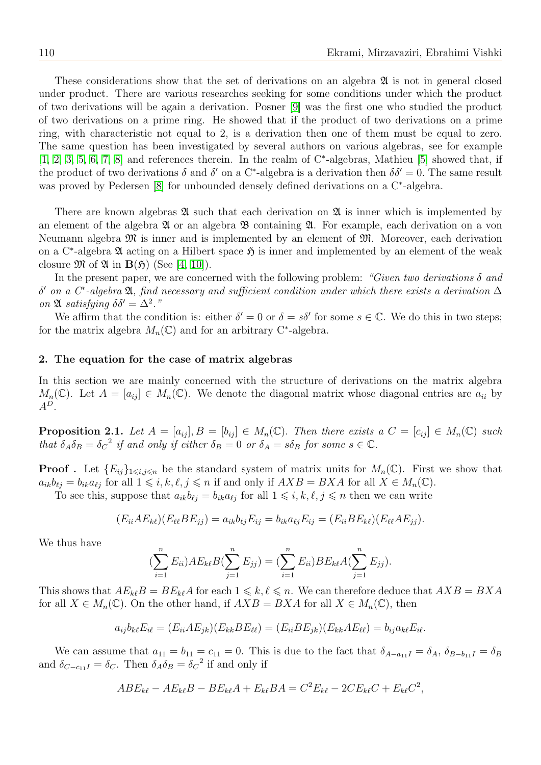These considerations show that the set of derivations on an algebra  $\mathfrak A$  is not in general closed under product. There are various researches seeking for some conditions under which the product of two derivations will be again a derivation. Posner [\[9\]](#page-5-0) was the first one who studied the product of two derivations on a prime ring. He showed that if the product of two derivations on a prime ring, with characteristic not equal to 2, is a derivation then one of them must be equal to zero. The same question has been investigated by several authors on various algebras, see for example [\[1,](#page-5-1) [2,](#page-5-2) [3,](#page-5-3) [5,](#page-5-4) [6,](#page-5-5) [7,](#page-5-6) [8\]](#page-5-7) and references therein. In the realm of C<sup>∗</sup>-algebras, Mathieu [\[5\]](#page-5-4) showed that, if the product of two derivations  $\delta$  and  $\delta'$  on a C<sup>\*</sup>-algebra is a derivation then  $\delta \delta' = 0$ . The same result was proved by Pedersen [\[8\]](#page-5-7) for unbounded densely defined derivations on a C<sup>∗</sup>-algebra.

There are known algebras  $\mathfrak A$  such that each derivation on  $\mathfrak A$  is inner which is implemented by an element of the algebra  $\mathfrak X$  or an algebra  $\mathfrak B$  containing  $\mathfrak A$ . For example, each derivation on a von Neumann algebra M is inner and is implemented by an element of M. Moreover, each derivation on a C<sup>∗</sup>-algebra  $\mathfrak A$  acting on a Hilbert space  $\mathfrak H$  is inner and implemented by an element of the weak closure  $\mathfrak{M}$  of  $\mathfrak{A}$  in  $\mathbf{B}(\mathfrak{H})$  (See [\[4,](#page-5-8) [10\]](#page-5-9)).

In the present paper, we are concerned with the following problem: "Given two derivations  $\delta$  and  $δ'$  on a  $C^*$ -algebra  $\mathfrak A$ , find necessary and sufficient condition under which there exists a derivation  $\Delta$ on  $\mathfrak A$  satisfying  $\delta \delta' = \Delta^2$ ."

We affirm that the condition is: either  $\delta' = 0$  or  $\delta = s\delta'$  for some  $s \in \mathbb{C}$ . We do this in two steps; for the matrix algebra  $M_n(\mathbb{C})$  and for an arbitrary C<sup>\*</sup>-algebra.

#### 2. The equation for the case of matrix algebras

In this section we are mainly concerned with the structure of derivations on the matrix algebra  $M_n(\mathbb{C})$ . Let  $A = [a_{ij}] \in M_n(\mathbb{C})$ . We denote the diagonal matrix whose diagonal entries are  $a_{ii}$  by  $A^D$ .

<span id="page-1-0"></span>**Proposition 2.1.** Let  $A = [a_{ij}], B = [b_{ij}] \in M_n(\mathbb{C})$ . Then there exists a  $C = [c_{ij}] \in M_n(\mathbb{C})$  such that  $\delta_A \delta_B = \delta_C^2$  if and only if either  $\delta_B = 0$  or  $\delta_A = s\delta_B$  for some  $s \in \mathbb{C}$ .

**Proof**. Let  $\{E_{ij}\}_{1\leq i,j\leq n}$  be the standard system of matrix units for  $M_n(\mathbb{C})$ . First we show that  $a_{ik}b_{\ell i} = b_{ik}a_{\ell i}$  for all  $1 \leq i, k, \ell, j \leq n$  if and only if  $AXB = BXA$  for all  $X \in M_n(\mathbb{C})$ .

To see this, suppose that  $a_{ik}b_{\ell j} = b_{ik}a_{\ell j}$  for all  $1 \leq i, k, \ell, j \leq n$  then we can write

$$
(E_{ii}AE_{k\ell})(E_{\ell\ell}BE_{jj}) = a_{ik}b_{\ell j}E_{ij} = b_{ik}a_{\ell j}E_{ij} = (E_{ii}BE_{k\ell})(E_{\ell\ell}AE_{jj}).
$$

We thus have

$$
(\sum_{i=1}^{n} E_{ii})AE_{k\ell}B(\sum_{j=1}^{n} E_{jj}) = (\sum_{i=1}^{n} E_{ii})BE_{k\ell}A(\sum_{j=1}^{n} E_{jj}).
$$

This shows that  $AE_{k\ell}B = BE_{k\ell}A$  for each  $1 \leq k, \ell \leq n$ . We can therefore deduce that  $AXB = BXA$ for all  $X \in M_n(\mathbb{C})$ . On the other hand, if  $AXB = BXA$  for all  $X \in M_n(\mathbb{C})$ , then

$$
a_{ij}b_{k\ell}E_{i\ell} = (E_{ii}AE_{jk})(E_{kk}BE_{\ell\ell}) = (E_{ii}BE_{jk})(E_{kk}AE_{\ell\ell}) = b_{ij}a_{k\ell}E_{i\ell}.
$$

We can assume that  $a_{11} = b_{11} = c_{11} = 0$ . This is due to the fact that  $\delta_{A-a_{11}I} = \delta_A$ ,  $\delta_{B-b_{11}I} = \delta_B$ and  $\delta_{C-c_{11}I} = \delta_C$ . Then  $\delta_A \delta_B = \delta_C^2$  if and only if

$$
ABE_{k\ell} - AE_{k\ell}B - BE_{k\ell}A + E_{k\ell}BA = C^2E_{k\ell} - 2CE_{k\ell}C + E_{k\ell}C^2,
$$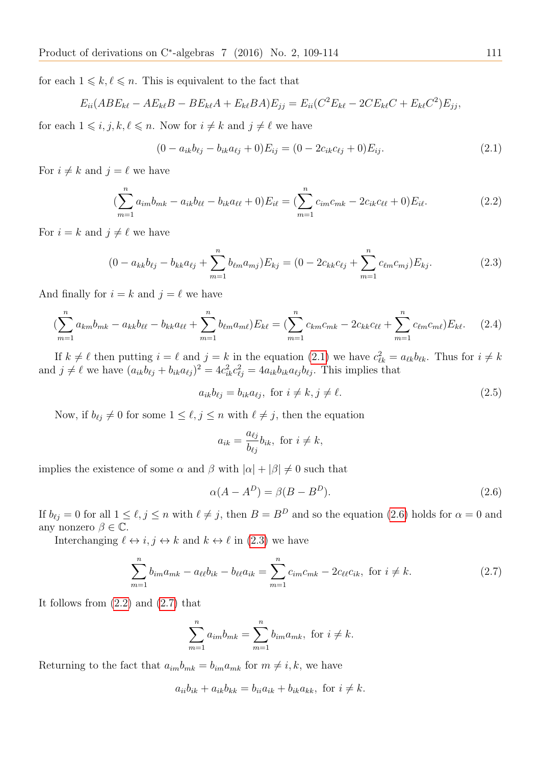for each  $1 \leq k, \ell \leq n$ . This is equivalent to the fact that

$$
E_{ii}(ABE_{k\ell} - AE_{k\ell}B - BE_{k\ell}A + E_{k\ell}BA)E_{jj} = E_{ii}(C^2E_{k\ell} - 2CE_{k\ell}C + E_{k\ell}C^2)E_{jj},
$$

for each  $1 \leq i, j, k, \ell \leq n$ . Now for  $i \neq k$  and  $j \neq \ell$  we have

<span id="page-2-0"></span>
$$
(0 - a_{ik}b_{\ell j} - b_{ik}a_{\ell j} + 0)E_{ij} = (0 - 2c_{ik}c_{\ell j} + 0)E_{ij}.
$$
\n(2.1)

For  $i \neq k$  and  $j = \ell$  we have

<span id="page-2-3"></span>
$$
\left(\sum_{m=1}^{n} a_{im} b_{mk} - a_{ik} b_{\ell\ell} - b_{ik} a_{\ell\ell} + 0\right) E_{i\ell} = \left(\sum_{m=1}^{n} c_{im} c_{mk} - 2c_{ik} c_{\ell\ell} + 0\right) E_{i\ell}.
$$
 (2.2)

For  $i = k$  and  $j \neq \ell$  we have

<span id="page-2-2"></span>
$$
(0 - a_{kk}b_{\ell j} - b_{kk}a_{\ell j} + \sum_{m=1}^{n} b_{\ell m}a_{mj})E_{kj} = (0 - 2c_{kk}c_{\ell j} + \sum_{m=1}^{n} c_{\ell m}c_{mj})E_{kj}.
$$
 (2.3)

And finally for  $i = k$  and  $j = \ell$  we have

<span id="page-2-5"></span>
$$
\left(\sum_{m=1}^{n} a_{km} b_{mk} - a_{kk} b_{\ell \ell} - b_{kk} a_{\ell \ell} + \sum_{m=1}^{n} b_{\ell m} a_{m \ell}\right) E_{k \ell} = \left(\sum_{m=1}^{n} c_{km} c_{mk} - 2 c_{kk} c_{\ell \ell} + \sum_{m=1}^{n} c_{\ell m} c_{m \ell}\right) E_{k \ell}.
$$
 (2.4)

If  $k \neq \ell$  then putting  $i = \ell$  and  $j = k$  in the equation [\(2.1\)](#page-2-0) we have  $c_{\ell k}^2 = a_{\ell k} b_{\ell k}$ . Thus for  $i \neq k$ and  $j \neq \ell$  we have  $(a_{ik}b_{\ell j} + b_{ik}a_{\ell j})^2 = 4c_{ik}^2c_{\ell j}^2 = 4a_{ik}b_{ik}a_{\ell j}b_{\ell j}$ . This implies that

<span id="page-2-6"></span>
$$
a_{ik}b_{\ell j} = b_{ik}a_{\ell j}, \text{ for } i \neq k, j \neq \ell.
$$
 (2.5)

Now, if  $b_{\ell j} \neq 0$  for some  $1 \leq \ell, j \leq n$  with  $\ell \neq j$ , then the equation

$$
a_{ik} = \frac{a_{\ell j}}{b_{\ell j}} b_{ik}, \text{ for } i \neq k,
$$

implies the existence of some  $\alpha$  and  $\beta$  with  $|\alpha| + |\beta| \neq 0$  such that

<span id="page-2-1"></span>
$$
\alpha(A - A^D) = \beta(B - B^D). \tag{2.6}
$$

If  $b_{\ell j} = 0$  for all  $1 \leq \ell, j \leq n$  with  $\ell \neq j$ , then  $B = B^D$  and so the equation [\(2.6\)](#page-2-1) holds for  $\alpha = 0$  and any nonzero  $\beta \in \mathbb{C}$ .

Interchanging  $\ell \leftrightarrow i, j \leftrightarrow k$  and  $k \leftrightarrow \ell$  in [\(2.3\)](#page-2-2) we have

<span id="page-2-4"></span>
$$
\sum_{m=1}^{n} b_{im} a_{mk} - a_{\ell\ell} b_{ik} - b_{\ell\ell} a_{ik} = \sum_{m=1}^{n} c_{im} c_{mk} - 2c_{\ell\ell} c_{ik}, \text{ for } i \neq k.
$$
 (2.7)

It follows from [\(2.2\)](#page-2-3) and [\(2.7\)](#page-2-4) that

<span id="page-2-7"></span>
$$
\sum_{m=1}^{n} a_{im} b_{mk} = \sum_{m=1}^{n} b_{im} a_{mk}, \text{ for } i \neq k.
$$

Returning to the fact that  $a_{im}b_{mk} = b_{im}a_{mk}$  for  $m \neq i, k$ , we have

$$
a_{ii}b_{ik} + a_{ik}b_{kk} = b_{ii}a_{ik} + b_{ik}a_{kk}, \text{ for } i \neq k.
$$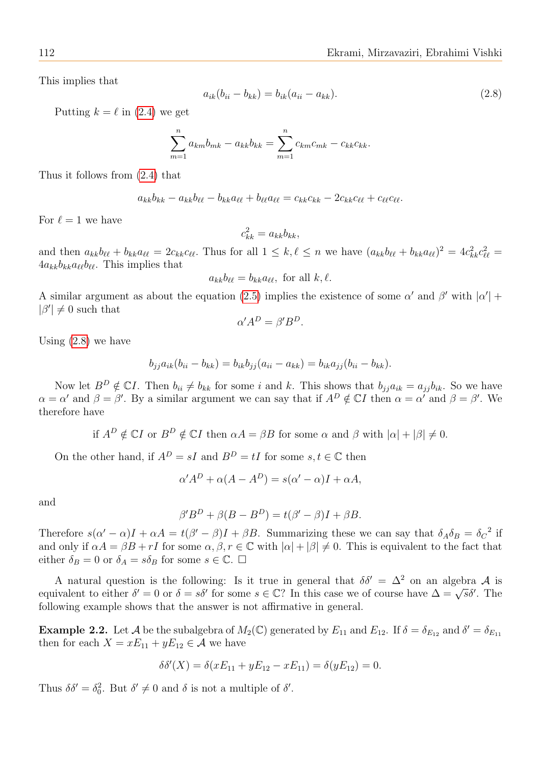This implies that

$$
a_{ik}(b_{ii} - b_{kk}) = b_{ik}(a_{ii} - a_{kk}).
$$
\n(2.8)

Putting  $k = \ell$  in [\(2.4\)](#page-2-5) we get

$$
\sum_{m=1}^{n} a_{km} b_{mk} - a_{kk} b_{kk} = \sum_{m=1}^{n} c_{km} c_{mk} - c_{kk} c_{kk}.
$$

Thus it follows from [\(2.4\)](#page-2-5) that

$$
a_{kk}b_{kk} - a_{kk}b_{\ell\ell} - b_{kk}a_{\ell\ell} + b_{\ell\ell}a_{\ell\ell} = c_{kk}c_{kk} - 2c_{kk}c_{\ell\ell} + c_{\ell\ell}c_{\ell\ell}.
$$

For  $\ell = 1$  we have

$$
c_{kk}^2 = a_{kk}b_{kk},
$$

and then  $a_{kk}b_{\ell\ell} + b_{kk}a_{\ell\ell} = 2c_{kk}c_{\ell\ell}$ . Thus for all  $1 \leq k, \ell \leq n$  we have  $(a_{kk}b_{\ell\ell} + b_{kk}a_{\ell\ell})^2 = 4c_{kk}^2c_{\ell\ell}^2 =$  $4a_{kk}b_{kk}a_{\ell\ell}b_{\ell\ell}$ . This implies that

$$
a_{kk}b_{\ell\ell} = b_{kk}a_{\ell\ell}, \text{ for all } k, \ell.
$$

A similar argument as about the equation [\(2.5\)](#page-2-6) implies the existence of some  $\alpha'$  and  $\beta'$  with  $|\alpha'|$  +  $|\beta'| \neq 0$  such that

$$
\alpha' A^D = \beta' B^D.
$$

Using [\(2.8\)](#page-2-7) we have

$$
b_{jj}a_{ik}(b_{ii} - b_{kk}) = b_{ik}b_{jj}(a_{ii} - a_{kk}) = b_{ik}a_{jj}(b_{ii} - b_{kk}).
$$

Now let  $B^D \notin \mathbb{C}I$ . Then  $b_{ii} \neq b_{kk}$  for some i and k. This shows that  $b_{ji}a_{ik} = a_{ji}b_{ik}$ . So we have  $\alpha = \alpha'$  and  $\beta = \beta'$ . By a similar argument we can say that if  $A^D \notin \mathbb{C}I$  then  $\alpha = \alpha'$  and  $\beta = \beta'$ . We therefore have

if  $A^D \notin \mathbb{C} I$  or  $B^D \notin \mathbb{C} I$  then  $\alpha A = \beta B$  for some  $\alpha$  and  $\beta$  with  $|\alpha| + |\beta| \neq 0$ .

On the other hand, if  $A^D = sI$  and  $B^D = tI$  for some  $s, t \in \mathbb{C}$  then

$$
\alpha' A^D + \alpha (A - A^D) = s(\alpha' - \alpha)I + \alpha A,
$$

and

$$
\beta' B^D + \beta (B - B^D) = t(\beta' - \beta)I + \beta B.
$$

Therefore  $s(\alpha'-\alpha)I+\alpha A=t(\beta'-\beta)I+\beta B$ . Summarizing these we can say that  $\delta_A\delta_B=\delta_C^2$  if and only if  $\alpha A = \beta B + rI$  for some  $\alpha, \beta, r \in \mathbb{C}$  with  $|\alpha| + |\beta| \neq 0$ . This is equivalent to the fact that either  $\delta_B = 0$  or  $\delta_A = s\delta_B$  for some  $s \in \mathbb{C}$ .  $\Box$ 

A natural question is the following: Is it true in general that  $\delta \delta' = \Delta^2$  on an algebra A is A hatural question is the following. Is it true in general that  $\omega_0 = \Delta$  on an algebra A is<br>equivalent to either  $\delta' = 0$  or  $\delta = s\delta'$  for some  $s \in \mathbb{C}$ ? In this case we of course have  $\Delta = \sqrt{s}\delta'$ . The following example shows that the answer is not affirmative in general.

**Example 2.2.** Let A be the subalgebra of  $M_2(\mathbb{C})$  generated by  $E_{11}$  and  $E_{12}$ . If  $\delta = \delta_{E_{12}}$  and  $\delta' = \delta_{E_{11}}$ then for each  $X = xE_{11} + yE_{12} \in \mathcal{A}$  we have

$$
\delta \delta'(X) = \delta(xE_{11} + yE_{12} - xE_{11}) = \delta(yE_{12}) = 0.
$$

Thus  $\delta \delta' = \delta_0^2$ . But  $\delta' \neq 0$  and  $\delta$  is not a multiple of  $\delta'$ .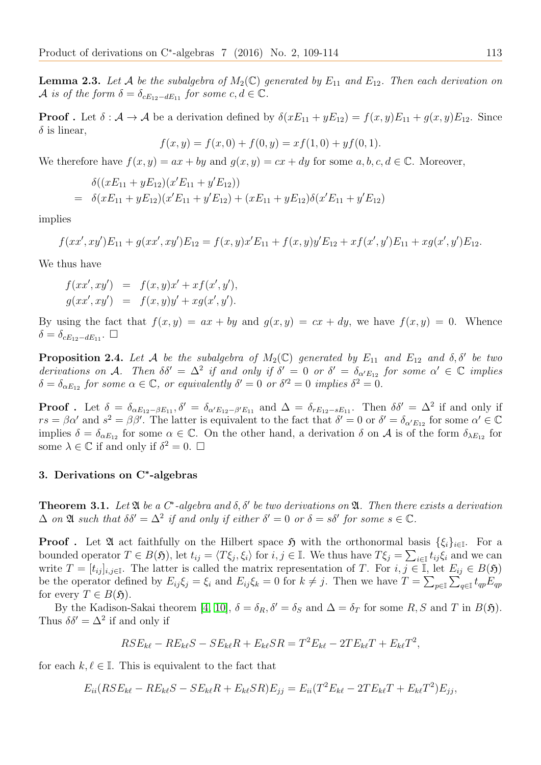**Lemma 2.3.** Let A be the subalgebra of  $M_2(\mathbb{C})$  generated by  $E_{11}$  and  $E_{12}$ . Then each derivation on A is of the form  $\delta = \delta_{cE_12-dE_11}$  for some  $c, d \in \mathbb{C}$ .

**Proof**. Let  $\delta : A \to A$  be a derivation defined by  $\delta(xE_{11} + yE_{12}) = f(x, y)E_{11} + g(x, y)E_{12}$ . Since  $\delta$  is linear,

$$
f(x, y) = f(x, 0) + f(0, y) = xf(1, 0) + yf(0, 1).
$$

We therefore have  $f(x, y) = ax + by$  and  $g(x, y) = cx + dy$  for some  $a, b, c, d \in \mathbb{C}$ . Moreover,

$$
\delta((xE_{11} + yE_{12})(x'E_{11} + y'E_{12}))
$$
  
=  $\delta(xE_{11} + yE_{12})(x'E_{11} + y'E_{12}) + (xE_{11} + yE_{12})\delta(x'E_{11} + y'E_{12})$ 

implies

$$
f(xx', xy')E_{11} + g(xx', xy')E_{12} = f(x, y)x'E_{11} + f(x, y)y'E_{12} + xf(x', y')E_{11} + xg(x', y')E_{12}.
$$

We thus have

$$
f(xx', xy') = f(x, y)x' + xf(x', y'),
$$
  
\n
$$
g(xx', xy') = f(x, y)y' + xg(x', y').
$$

By using the fact that  $f(x, y) = ax + by$  and  $g(x, y) = cx + dy$ , we have  $f(x, y) = 0$ . Whence  $\delta = \delta_{cE_{12}-dE_{11}}$ .  $\Box$ 

**Proposition 2.4.** Let A be the subalgebra of  $M_2(\mathbb{C})$  generated by  $E_{11}$  and  $E_{12}$  and  $\delta, \delta'$  be two derivations on A. Then  $\delta \delta' = \Delta^2$  if and only if  $\delta' = 0$  or  $\delta' = \delta_{\alpha' E_{12}}$  for some  $\alpha' \in \mathbb{C}$  implies  $\delta = \delta_{\alpha E_{12}}$  for some  $\alpha \in \mathbb{C}$ , or equivalently  $\delta' = 0$  or  $\delta'^2 = 0$  implies  $\delta^2 = 0$ .

**Proof**. Let  $\delta = \delta_{\alpha E_{12} - \beta E_{11}}, \delta' = \delta_{\alpha' E_{12} - \beta' E_{11}}$  and  $\Delta = \delta_{r E_{12} - s E_{11}}$ . Then  $\delta \delta' = \Delta^2$  if and only if  $rs = \beta \alpha'$  and  $s^2 = \beta \beta'$ . The latter is equivalent to the fact that  $\delta' = 0$  or  $\delta' = \delta_{\alpha' E_{12}}$  for some  $\alpha' \in \mathbb{C}$ implies  $\delta = \delta_{\alpha E_{12}}$  for some  $\alpha \in \mathbb{C}$ . On the other hand, a derivation  $\delta$  on A is of the form  $\delta_{\lambda E_{12}}$  for some  $\lambda \in \mathbb{C}$  if and only if  $\delta^2 = 0$ .  $\Box$ 

## 3. Derivations on C<sup>∗</sup> -algebras

**Theorem 3.1.** Let  $\mathfrak A$  be a  $C^*$ -algebra and  $\delta, \delta'$  be two derivations on  $\mathfrak A$ . Then there exists a derivation  $\Delta$  on  $\mathfrak A$  such that  $\delta \delta' = \Delta^2$  if and only if either  $\delta' = 0$  or  $\delta = s \delta'$  for some  $s \in \mathbb C$ .

**Proof**. Let  $\mathfrak{A}$  act faithfully on the Hilbert space  $\mathfrak{H}$  with the orthonormal basis  $\{\xi_i\}_{i\in\mathbb{I}}$ . For a bounded operator  $T \in B(\mathfrak{H})$ , let  $t_{ij} = \langle T\xi_j, \xi_i \rangle$  for  $i, j \in \mathbb{I}$ . We thus have  $T\xi_j = \sum_{i \in \mathbb{I}} t_{ij}\xi_i$  and we can write  $T = [t_{ij}]_{i,j\in\mathbb{I}}$ . The latter is called the matrix representation of T. For  $i, j \in \mathbb{I}$ , let  $E_{ij} \in B(\mathfrak{H})$ be the operator defined by  $E_{ij}\xi_j = \xi_i$  and  $E_{ij}\xi_k = 0$  for  $k \neq j$ . Then we have  $T = \sum_{p \in \mathbb{I}} \sum_{q \in \mathbb{I}} t_{qp} E_{qp}$ for every  $T \in B(\mathfrak{H}).$ 

By the Kadison-Sakai theorem [\[4,](#page-5-8) [10\]](#page-5-9),  $\delta = \delta_R$ ,  $\delta' = \delta_S$  and  $\Delta = \delta_T$  for some R, S and T in B(5). Thus  $\delta \delta' = \Delta^2$  if and only if

$$
RSE_{k\ell} - RE_{k\ell}S - SE_{k\ell}R + E_{k\ell}SR = T^2E_{k\ell} - 2TE_{k\ell}T + E_{k\ell}T^2,
$$

for each  $k, \ell \in \mathbb{I}$ . This is equivalent to the fact that

$$
E_{ii}(RSE_{k\ell} - RE_{k\ell}S - SE_{k\ell}R + E_{k\ell}SR)E_{jj} = E_{ii}(T^2E_{k\ell} - 2TE_{k\ell}T + E_{k\ell}T^2)E_{jj},
$$